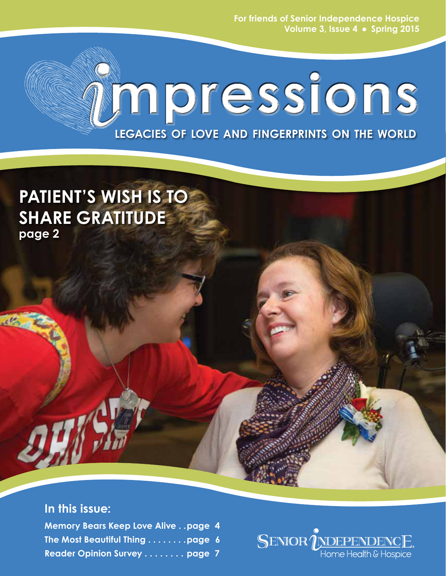**For friends of Senior Independence Hospice** Volume 3, Issue 4 . Spring 2015

# **mpressions legacies of love and fingerprints on the world**

# **pATIENT'S wISH iS TO SHARE GRATITUDE page 2**

### **In this issue:**

**Memory Bears Keep Love Alive . . page 4 The Most Beautiful Thing . . . . . . . . page 6 Reader Opinion Survey . . . . . . . . page 7**

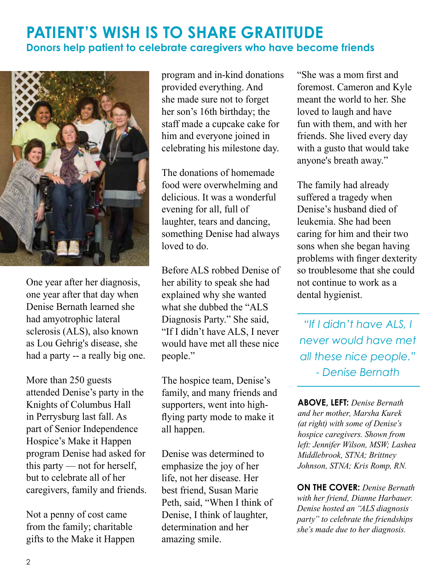### **PATIENT'S WISH IS TO SHARE GRATITUDE Donors help patient to celebrate caregivers who have become friends**



One year after her diagnosis, one year after that day when Denise Bernath learned she had amyotrophic lateral sclerosis (ALS), also known as Lou Gehrig's disease, she had a party -- a really big one.

More than 250 guests attended Denise's party in the Knights of Columbus Hall in Perrysburg last fall. As part of Senior Independence Hospice's Make it Happen program Denise had asked for this party — not for herself, but to celebrate all of her caregivers, family and friends.

Not a penny of cost came from the family; charitable gifts to the Make it Happen

program and in-kind donations provided everything. And she made sure not to forget her son's 16th birthday; the staff made a cupcake cake for him and everyone joined in celebrating his milestone day.

The donations of homemade food were overwhelming and delicious. It was a wonderful evening for all, full of laughter, tears and dancing, something Denise had always loved to do.

Before ALS robbed Denise of her ability to speak she had explained why she wanted what she dubbed the "ALS Diagnosis Party." She said, "If I didn't have ALS, I never would have met all these nice people."

The hospice team, Denise's family, and many friends and supporters, went into highflying party mode to make it all happen.

Denise was determined to emphasize the joy of her life, not her disease. Her best friend, Susan Marie Peth, said, "When I think of Denise, I think of laughter, determination and her amazing smile.

"She was a mom first and foremost. Cameron and Kyle meant the world to her. She loved to laugh and have fun with them, and with her friends. She lived every day with a gusto that would take anyone's breath away."

The family had already suffered a tragedy when Denise's husband died of leukemia. She had been caring for him and their two sons when she began having problems with finger dexterity so troublesome that she could not continue to work as a dental hygienist.

*"If I didn't have ALS, I never would have met all these nice people." - Denise Bernath* 

**ABOVE, LEFT:** *Denise Bernath and her mother, Marsha Kurek (at right) with some of Denise's hospice caregivers. Shown from left: Jennifer Wilson, MSW; Lashea Middlebrook, STNA; Brittney Johnson, STNA; Kris Romp, RN.*

**On the cover:** *Denise Bernath with her friend, Dianne Harbauer. Denise hosted an "ALS diagnosis party" to celebrate the friendships she's made due to her diagnosis.*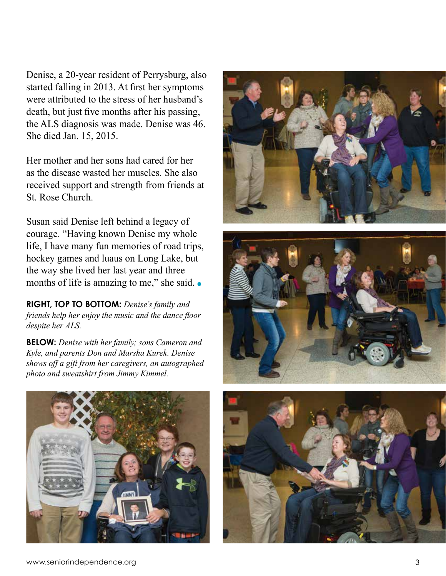Denise, a 20-year resident of Perrysburg, also started falling in 2013. At first her symptoms were attributed to the stress of her husband's death, but just five months after his passing, the ALS diagnosis was made. Denise was 46. She died Jan. 15, 2015.

Her mother and her sons had cared for her as the disease wasted her muscles. She also received support and strength from friends at St. Rose Church.

Susan said Denise left behind a legacy of courage. "Having known Denise my whole life, I have many fun memories of road trips, hockey games and luaus on Long Lake, but the way she lived her last year and three months of life is amazing to me," she said.  $\bullet$ 

**rIGHT, top to bottom:** *Denise's family and friends help her enjoy the music and the dance floor despite her ALS.*

**BELOW:** *Denise with her family; sons Cameron and Kyle, and parents Don and Marsha Kurek. Denise shows off a gift from her caregivers, an autographed photo and sweatshirt from Jimmy Kimmel.*







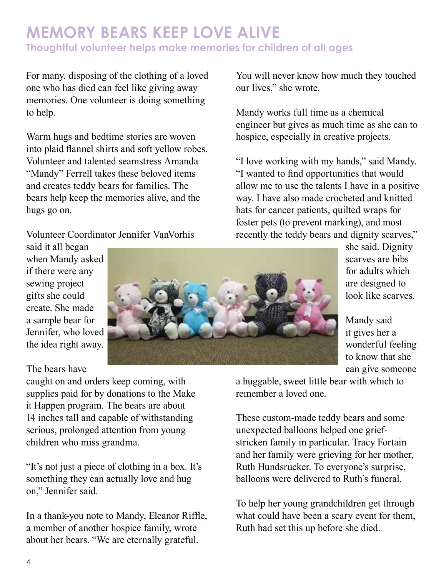### **memory bears keep love alive Thoughtful volunteer helps make memories for children of all ages**

For many, disposing of the clothing of a loved one who has died can feel like giving away memories. One volunteer is doing something to help.

Warm hugs and bedtime stories are woven into plaid flannel shirts and soft yellow robes. Volunteer and talented seamstress Amanda "Mandy" Ferrell takes these beloved items and creates teddy bears for families. The bears help keep the memories alive, and the hugs go on.

Volunteer Coordinator Jennifer VanVorhis

You will never know how much they touched our lives," she wrote.

Mandy works full time as a chemical engineer but gives as much time as she can to hospice, especially in creative projects.

"I love working with my hands," said Mandy. "I wanted to find opportunities that would allow me to use the talents I have in a positive way. I have also made crocheted and knitted hats for cancer patients, quilted wraps for foster pets (to prevent marking), and most recently the teddy bears and dignity scarves,"

said it all began when Mandy asked if there were any sewing project gifts she could create. She made a sample bear for Jennifer, who loved the idea right away.

#### The bears have

caught on and orders keep coming, with supplies paid for by donations to the Make it Happen program. The bears are about 14 inches tall and capable of withstanding serious, prolonged attention from young children who miss grandma.

"It's not just a piece of clothing in a box. It's something they can actually love and hug on," Jennifer said.

In a thank-you note to Mandy, Eleanor Riffle, a member of another hospice family, wrote about her bears. "We are eternally grateful.



she said. Dignity scarves are bibs for adults which are designed to look like scarves.

Mandy said it gives her a wonderful feeling to know that she can give someone

a huggable, sweet little bear with which to remember a loved one.

These custom-made teddy bears and some unexpected balloons helped one griefstricken family in particular. Tracy Fortain and her family were grieving for her mother, Ruth Hundsrucker. To everyone's surprise, balloons were delivered to Ruth's funeral.

To help her young grandchildren get through what could have been a scary event for them, Ruth had set this up before she died.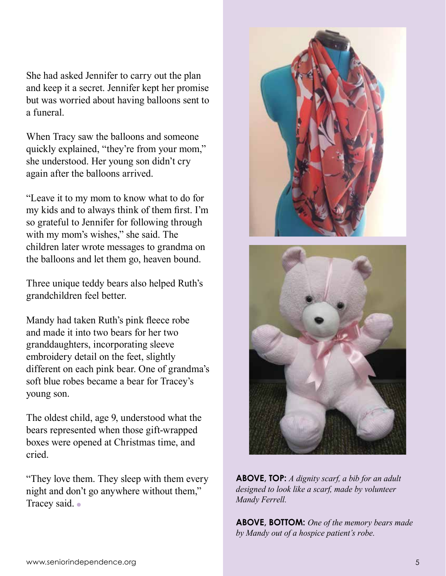She had asked Jennifer to carry out the plan and keep it a secret. Jennifer kept her promise but was worried about having balloons sent to a funeral.

When Tracy saw the balloons and someone quickly explained, "they're from your mom," she understood. Her young son didn't cry again after the balloons arrived.

"Leave it to my mom to know what to do for my kids and to always think of them first. I'm so grateful to Jennifer for following through with my mom's wishes," she said. The children later wrote messages to grandma on the balloons and let them go, heaven bound.

Three unique teddy bears also helped Ruth's grandchildren feel better.

Mandy had taken Ruth's pink fleece robe and made it into two bears for her two granddaughters, incorporating sleeve embroidery detail on the feet, slightly different on each pink bear. One of grandma's soft blue robes became a bear for Tracey's young son.

The oldest child, age 9, understood what the bears represented when those gift-wrapped boxes were opened at Christmas time, and cried.

"They love them. They sleep with them every night and don't go anywhere without them," Tracey said. •





**ABOVE, TOP:** *A dignity scarf, a bib for an adult designed to look like a scarf, made by volunteer Mandy Ferrell.*

**ABOVE, BOTTOM:** *One of the memory bears made by Mandy out of a hospice patient's robe.*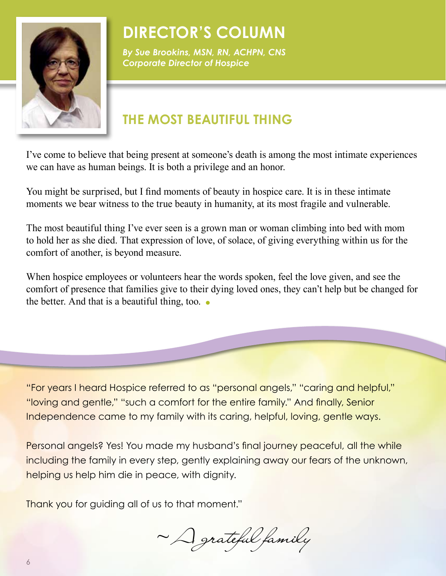

## **Director's Column**

*By Sue Brookins, MSN, RN, ACHPN, CNS Corporate Director of Hospice*

### **THE MOST BEAUTIFUL THING**

I've come to believe that being present at someone's death is among the most intimate experiences we can have as human beings. It is both a privilege and an honor.

You might be surprised, but I find moments of beauty in hospice care. It is in these intimate moments we bear witness to the true beauty in humanity, at its most fragile and vulnerable.

The most beautiful thing I've ever seen is a grown man or woman climbing into bed with mom to hold her as she died. That expression of love, of solace, of giving everything within us for the comfort of another, is beyond measure.

When hospice employees or volunteers hear the words spoken, feel the love given, and see the comfort of presence that families give to their dying loved ones, they can't help but be changed for the better. And that is a beautiful thing, too.  $\bullet$ 

"For years I heard Hospice referred to as "personal angels," "caring and helpful," "loving and gentle," "such a comfort for the entire family." And finally, Senior Independence came to my family with its caring, helpful, loving, gentle ways.

Personal angels? Yes! You made my husband's final journey peaceful, all the while including the family in every step, gently explaining away our fears of the unknown, helping us help him die in peace, with dignity.

Thank you for guiding all of us to that moment."

~ A grateful family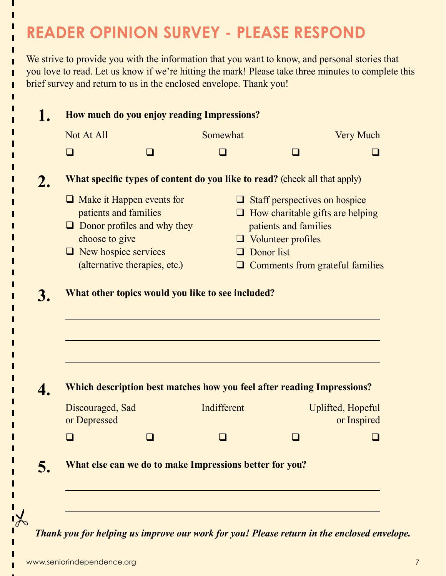# **READER OPINION SURVEY - pLEASE RESPOND**

We strive to provide you with the information that you want to know, and personal stories that you love to read. Let us know if we're hitting the mark! Please take three minutes to complete this brief survey and return to us in the enclosed envelope. Thank you!

| Not At All<br>□<br><b>What specific types of content do you like to read?</b> (check all that apply)<br>$\Box$ Make it Happen events for<br>patients and families<br>$\Box$ Donor profiles and why they<br>choose to give<br>$\Box$ New hospice services |                                  | Somewhat | $\Box$<br>patients and families | <b>Very Much</b><br>$\Box$ Staff perspectives on hospice                                                                                                                               |  |
|----------------------------------------------------------------------------------------------------------------------------------------------------------------------------------------------------------------------------------------------------------|----------------------------------|----------|---------------------------------|----------------------------------------------------------------------------------------------------------------------------------------------------------------------------------------|--|
|                                                                                                                                                                                                                                                          |                                  |          |                                 |                                                                                                                                                                                        |  |
|                                                                                                                                                                                                                                                          |                                  |          |                                 |                                                                                                                                                                                        |  |
|                                                                                                                                                                                                                                                          |                                  |          |                                 |                                                                                                                                                                                        |  |
|                                                                                                                                                                                                                                                          |                                  |          |                                 |                                                                                                                                                                                        |  |
|                                                                                                                                                                                                                                                          |                                  |          |                                 | $\Box$ How charitable gifts are helping                                                                                                                                                |  |
|                                                                                                                                                                                                                                                          |                                  |          |                                 |                                                                                                                                                                                        |  |
|                                                                                                                                                                                                                                                          |                                  |          | $\Box$ Volunteer profiles       |                                                                                                                                                                                        |  |
|                                                                                                                                                                                                                                                          |                                  |          | $\Box$ Donor list               |                                                                                                                                                                                        |  |
| (alternative therapies, etc.)                                                                                                                                                                                                                            |                                  |          |                                 | $\Box$ Comments from grateful families                                                                                                                                                 |  |
|                                                                                                                                                                                                                                                          |                                  |          |                                 |                                                                                                                                                                                        |  |
|                                                                                                                                                                                                                                                          |                                  |          |                                 | Uplifted, Hopeful                                                                                                                                                                      |  |
|                                                                                                                                                                                                                                                          |                                  |          |                                 | or Inspired                                                                                                                                                                            |  |
|                                                                                                                                                                                                                                                          |                                  |          |                                 |                                                                                                                                                                                        |  |
|                                                                                                                                                                                                                                                          |                                  |          |                                 |                                                                                                                                                                                        |  |
|                                                                                                                                                                                                                                                          |                                  |          |                                 |                                                                                                                                                                                        |  |
|                                                                                                                                                                                                                                                          | Discouraged, Sad<br>or Depressed |          | Indifferent                     | What other topics would you like to see included?<br>Which description best matches how you feel after reading Impressions?<br>What else can we do to make Impressions better for you? |  |

*Thank you for helping us improve our work for you! Please return in the enclosed envelope.*

ī

Ï ī Ī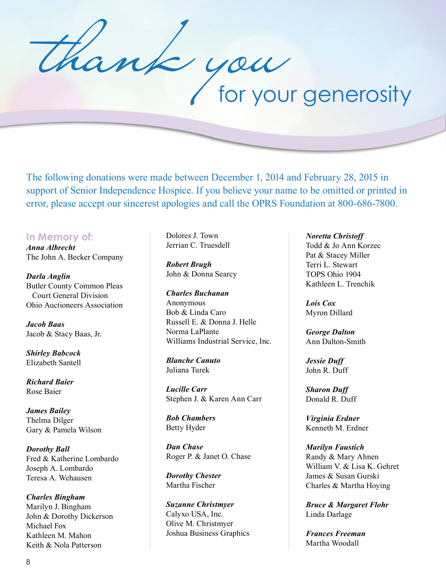y au<br>for your generosity

The following donations were made between December 1, 2014 and February 28, 2015 in support of Senior Independence Hospice. If you believe your name to be omitted or printed in error, please accept our sincerest apologies and call the OPRS Foundation at 800-686-7800.

**In Memory of:** *Anna Albrecht* The John A. Becker Company

*Darla Anglin* Butler County Common Pleas Court General Division Ohio Auctioneers Association

*Jacob Baas* Jacob & Stacy Baas, Jr.

*Shirley Babcock* Elizabeth Santell

*Richard Baier* Rose Baier

*James Bailey* Thelma Dilger Gary & Pamela Wilson

*Dorothy Ball* Fred & Katherine Lombardo Joseph A. Lombardo Teresa A. Wehausen

*Charles Bingham* Marilyn J. Bingham John & Dorothy Dickerson Michael Fox Kathleen M. Mahon Keith & Nola Patterson

Dolores J. Town Jerrian C. Truesdell

*Robert Brugh* John & Donna Searcy

*Charles Buchanan* Anonymous Bob & Linda Caro Russell E. & Donna J. Helle Norma LaPlante Williams Industrial Service, Inc.

*Blanche Canuto* Juliana Turek

*Lucille Carr* Stephen J. & Karen Ann Carr

*Bob Chambers* Betty Hyder

*Dan Chase* Roger P. & Janet O. Chase

*Dorothy Chester* Martha Fischer

*Suzanne Christmyer* Calyxo USA, Inc. Olive M. Christmyer Joshua Business Graphics

#### *Noretta Christoff*

Todd & Jo Ann Korzec Pat & Stacey Miller Terri L. Stewart TOPS Ohio 1904 Kathleen L. Trenchik

*Lois Cox* Myron Dillard

*George Dalton* Ann Dalton-Smith

*Jessie Duff* John R. Duff

*Sharon Duff* Donald R. Duff

*Virginia Erdner* Kenneth M. Erdner

*Marilyn Faustich* Randy & Mary Ahnen William V. & Lisa K. Gehret James & Susan Gurski Charles & Martha Hoying

*Bruce & Margaret Flohr* Linda Darlage

*Frances Freeman* Martha Woodall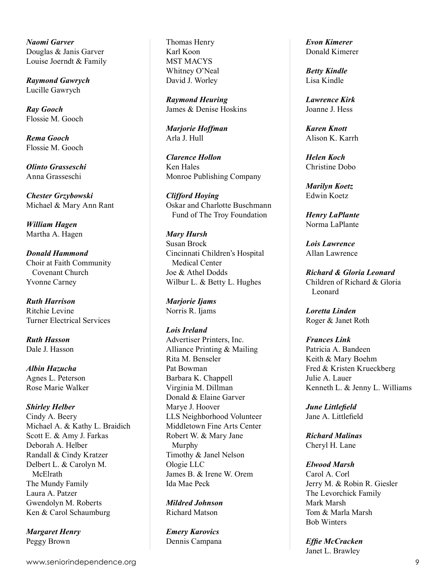*Naomi Garver* Douglas & Janis Garver Louise Joerndt & Family

*Raymond Gawrych* Lucille Gawrych

*Ray Gooch* Flossie M. Gooch

*Rema Gooch* Flossie M. Gooch

*Olinto Grasseschi* Anna Grasseschi

*Chester Grzybowski* Michael & Mary Ann Rant

*William Hagen* Martha A. Hagen

*Donald Hammond* Choir at Faith Community Covenant Church Yvonne Carney

*Ruth Harrison* Ritchie Levine Turner Electrical Services

*Ruth Hasson* Dale J. Hasson

*Albin Hazucha* Agnes L. Peterson Rose Marie Walker

#### *Shirley Helber*

Cindy A. Beery Michael A. & Kathy L. Braidich Scott E. & Amy J. Farkas Deborah A. Helber Randall & Cindy Kratzer Delbert L. & Carolyn M. McElrath The Mundy Family Laura A. Patzer Gwendolyn M. Roberts Ken & Carol Schaumburg

*Margaret Henry* Peggy Brown

Thomas Henry Karl Koon MST MACYS Whitney O'Neal David J. Worley

*Raymond Heuring* James & Denise Hoskins

*Marjorie Hoffman* Arla J. Hull

*Clarence Hollon* Ken Hales Monroe Publishing Company

*Clifford Hoying* Oskar and Charlotte Buschmann Fund of The Troy Foundation

*Mary Hursh* Susan Brock Cincinnati Children's Hospital Medical Center Joe & Athel Dodds Wilbur L. & Betty L. Hughes

*Marjorie Ijams* Norris R. Ijams

#### *Lois Ireland*

Advertiser Printers, Inc. Alliance Printing & Mailing Rita M. Benseler Pat Bowman Barbara K. Chappell Virginia M. Dillman Donald & Elaine Garver Marye J. Hoover LLS Neighborhood Volunteer Middletown Fine Arts Center Robert W. & Mary Jane Murphy Timothy & Janel Nelson Ologie LLC James B. & Irene W. Orem Ida Mae Peck

*Mildred Johnson* Richard Matson

*Emery Karovics* Dennis Campana *Evon Kimerer* Donald Kimerer

*Betty Kindle* Lisa Kindle

*Lawrence Kirk* Joanne J. Hess

*Karen Knott* Alison K. Karrh

*Helen Koch* Christine Dobo

*Marilyn Koetz* Edwin Koetz

*Henry LaPlante* Norma LaPlante

*Lois Lawrence* Allan Lawrence

*Richard & Gloria Leonard* Children of Richard & Gloria Leonard

*Loretta Linden* Roger & Janet Roth

*Frances Link* Patricia A. Bandeen Keith & Mary Boehm Fred & Kristen Krueckberg Julie A. Lauer Kenneth L. & Jenny L. Williams

*June Littlefield* Jane A. Littlefield

*Richard Malinas* Cheryl H. Lane

*Elwood Marsh* Carol A. Corl

Jerry M. & Robin R. Giesler The Levorchick Family Mark Marsh Tom & Marla Marsh Bob Winters

*Effie McCracken* Janet L. Brawley

www.seniorindependence.org 9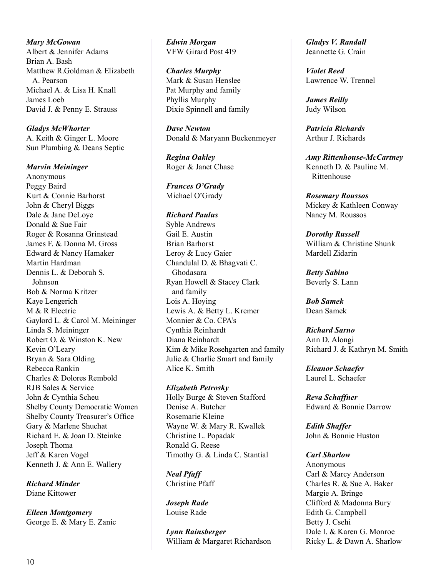*Mary McGowan* Albert & Jennifer Adams Brian A. Bash Matthew R.Goldman & Elizabeth A. Pearson Michael A. & Lisa H. Knall James Loeb David J. & Penny E. Strauss

*Gladys McWhorter* A. Keith & Ginger L. Moore Sun Plumbing & Deans Septic

*Marvin Meininger* Anonymous Peggy Baird Kurt & Connie Barhorst John & Cheryl Biggs Dale & Jane DeLoye Donald & Sue Fair Roger & Rosanna Grinstead James F. & Donna M. Gross Edward & Nancy Hamaker Martin Hardman Dennis L. & Deborah S. Johnson Bob & Norma Kritzer Kaye Lengerich M & R Electric Gaylord L. & Carol M. Meininger Linda S. Meininger Robert O. & Winston K. New Kevin O'Leary Bryan & Sara Olding Rebecca Rankin Charles & Dolores Rembold RJB Sales & Service John & Cynthia Scheu Shelby County Democratic Women Shelby County Treasurer's Office Gary & Marlene Shuchat Richard E. & Joan D. Steinke Joseph Thoma Jeff & Karen Vogel Kenneth J. & Ann E. Wallery

*Richard Minder* Diane Kittower

*Eileen Montgomery* George E. & Mary E. Zanic *Edwin Morgan* VFW Girard Post 419

#### *Charles Murphy*

Mark & Susan Henslee Pat Murphy and family Phyllis Murphy Dixie Spinnell and family

*Dave Newton* Donald & Maryann Buckenmeyer

*Regina Oakley* Roger & Janet Chase

*Frances O'Grady* Michael O'Grady

#### *Richard Paulus*

Syble Andrews Gail E. Austin Brian Barhorst Leroy & Lucy Gaier Chandulal D. & Bhagvati C. Ghodasara Ryan Howell & Stacey Clark and family Lois A. Hoying Lewis A. & Betty L. Kremer Monnier & Co. CPA's Cynthia Reinhardt Diana Reinhardt Kim & Mike Rosehgarten and family Julie & Charlie Smart and family Alice K. Smith

*Elizabeth Petrosky* Holly Burge & Steven Stafford Denise A. Butcher Rosemarie Kleine Wayne W. & Mary R. Kwallek Christine L. Popadak Ronald G. Reese Timothy G. & Linda C. Stantial

*Neal Pfaff* Christine Pfaff

*Joseph Rade* Louise Rade

*Lynn Rainsberger* William & Margaret Richardson *Gladys V. Randall* Jeannette G. Crain

*Violet Reed* Lawrence W. Trennel

*James Reilly* Judy Wilson

*Patricia Richards* Arthur J. Richards

*Amy Rittenhouse-McCartney* Kenneth D. & Pauline M. Rittenhouse

*Rosemary Roussos* Mickey & Kathleen Conway Nancy M. Roussos

*Dorothy Russell* William & Christine Shunk Mardell Zidarin

*Betty Sabino* Beverly S. Lann

*Bob Samek* Dean Samek

*Richard Sarno* Ann D. Alongi Richard J. & Kathryn M. Smith

*Eleanor Schaefer* Laurel L. Schaefer

*Reva Schaffner* Edward & Bonnie Darrow

*Edith Shaffer* John & Bonnie Huston

*Carl Sharlow* Anonymous Carl & Marcy Anderson Charles R. & Sue A. Baker Margie A. Bringe Clifford & Madonna Bury Edith G. Campbell Betty J. Csehi Dale I. & Karen G. Monroe Ricky L. & Dawn A. Sharlow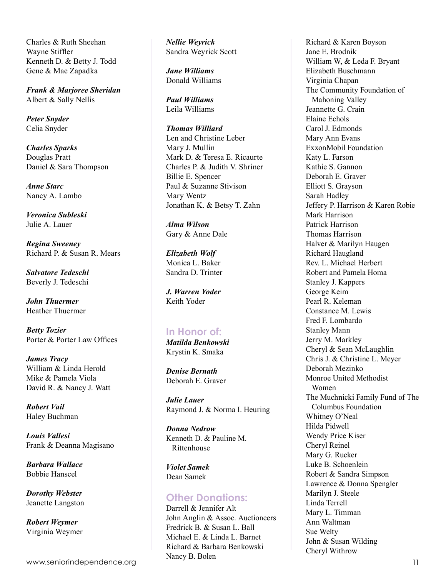Charles & Ruth Sheehan Wayne Stiffler Kenneth D. & Betty J. Todd Gene & Mae Zapadka

*Frank & Marjoree Sheridan* Albert & Sally Nellis

*Peter Snyder* Celia Snyder

*Charles Sparks* Douglas Pratt Daniel & Sara Thompson

*Anne Starc* Nancy A. Lambo

*Veronica Subleski* Julie A. Lauer

*Regina Sweeney* Richard P. & Susan R. Mears

*Salvatore Tedeschi* Beverly J. Tedeschi

*John Thuermer* Heather Thuermer

*Betty Tozier* Porter & Porter Law Offices

*James Tracy* William & Linda Herold Mike & Pamela Viola David R. & Nancy J. Watt

*Robert Vail* Haley Buchman

*Louis Vallesi* Frank & Deanna Magisano

*Barbara Wallace* Bobbie Hanscel

*Dorothy Webster* Jeanette Langston

*Robert Weymer* Virginia Weymer *Nellie Weyrick* Sandra Weyrick Scott

*Jane Williams* Donald Williams

*Paul Williams* Leila Williams

*Thomas Williard* Len and Christine Leber Mary J. Mullin Mark D. & Teresa E. Ricaurte Charles P. & Judith V. Shriner Billie E. Spencer Paul & Suzanne Stivison Mary Wentz Jonathan K. & Betsy T. Zahn

*Alma Wilson* Gary & Anne Dale

*Elizabeth Wolf* Monica L. Baker Sandra D. Trinter

*J. Warren Yoder* Keith Yoder

#### **In Honor of:**

*Matilda Benkowski* Krystin K. Smaka

*Denise Bernath* Deborah E. Graver

*Julie Lauer* Raymond J. & Norma I. Heuring

*Donna Nedrow* Kenneth D. & Pauline M. Rittenhouse

*Violet Samek* Dean Samek

#### **Other Donations:**

Darrell & Jennifer Alt John Anglin & Assoc. Auctioneers Fredrick B. & Susan L. Ball Michael E. & Linda L. Barnet Richard & Barbara Benkowski Nancy B. Bolen

Richard & Karen Boyson Jane E. Brodnik William W, & Leda F. Bryant Elizabeth Buschmann Virginia Chapan The Community Foundation of Mahoning Valley Jeannette G. Crain Elaine Echols Carol J. Edmonds Mary Ann Evans ExxonMobil Foundation Katy L. Farson Kathie S. Gannon Deborah E. Graver Elliott S. Grayson Sarah Hadley Jeffery P. Harrison & Karen Robie Mark Harrison Patrick Harrison Thomas Harrison Halver & Marilyn Haugen Richard Haugland Rev. L. Michael Herbert Robert and Pamela Homa Stanley J. Kappers George Keim Pearl R. Keleman Constance M. Lewis Fred F. Lombardo Stanley Mann Jerry M. Markley Cheryl & Sean McLaughlin Chris J. & Christine L. Meyer Deborah Mezinko Monroe United Methodist Women The Muchnicki Family Fund of The Columbus Foundation Whitney O'Neal Hilda Pidwell Wendy Price Kiser Cheryl Reinel Mary G. Rucker Luke B. Schoenlein Robert & Sandra Simpson Lawrence & Donna Spengler Marilyn J. Steele Linda Terrell Mary L. Timman Ann Waltman Sue Welty John & Susan Wilding Cheryl Withrow